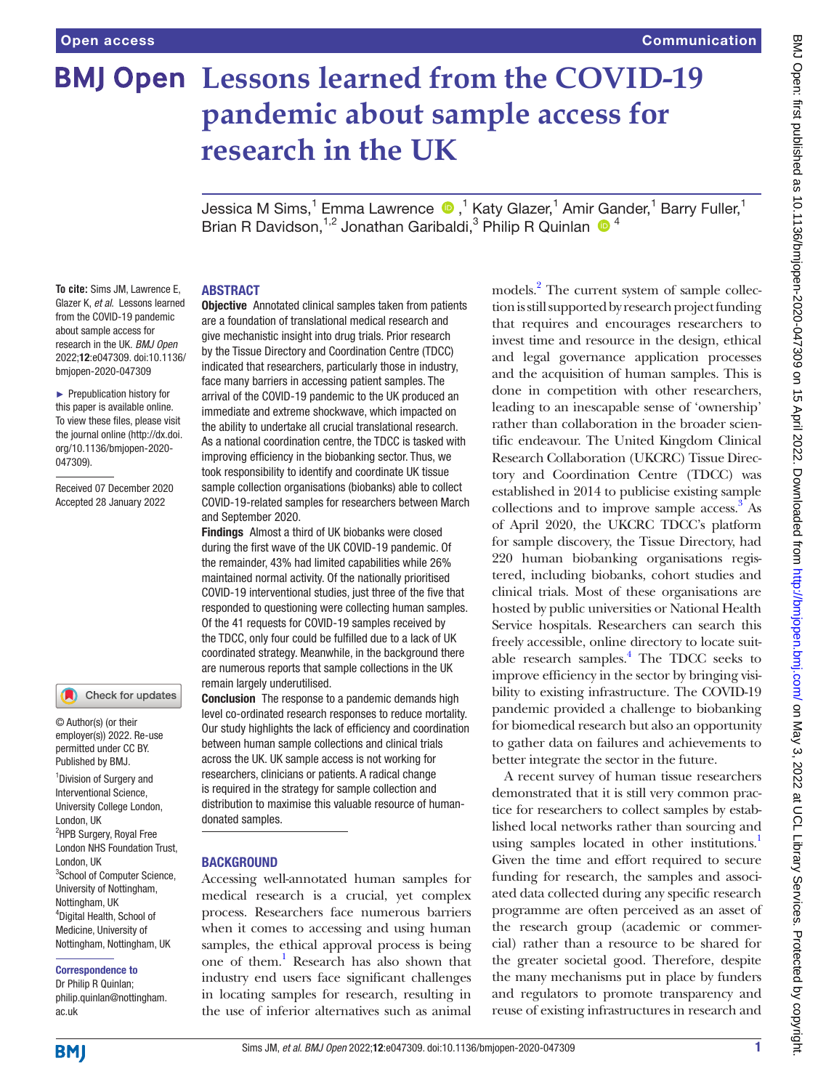# **BMJ Open Lessons learned from the COVID-19 pandemic about sample access for research in the UK**

JessicaM Sims,<sup>1</sup> Emma Lawrence (D, <sup>1</sup> Katy Glazer,<sup>1</sup> Amir Gander,<sup>1</sup> Barry Fuller,<sup>1</sup> Brian R Davidson,  $1,2}$  Jonathan Garibaldi,  $3$  Philip R Quinlan  $\bigcirc$  4

## ABSTRACT

**To cite:** Sims JM, Lawrence E, Glazer K, *et al*. Lessons learned from the COVID-19 pandemic about sample access for research in the UK. *BMJ Open* 2022;12:e047309. doi:10.1136/ bmjopen-2020-047309

► Prepublication history for this paper is available online. To view these files, please visit the journal online [\(http://dx.doi.](http://dx.doi.org/10.1136/bmjopen-2020-047309) [org/10.1136/bmjopen-2020-](http://dx.doi.org/10.1136/bmjopen-2020-047309) [047309\)](http://dx.doi.org/10.1136/bmjopen-2020-047309).

Received 07 December 2020 Accepted 28 January 2022

## Check for updates

© Author(s) (or their employer(s)) 2022. Re-use permitted under CC BY. Published by BMJ.

<sup>1</sup> Division of Surgery and Interventional Science, University College London, London, UK <sup>2</sup>HPB Surgery, Royal Free London NHS Foundation Trust, London, UK <sup>3</sup>School of Computer Science, University of Nottingham, Nottingham, UK 4 Digital Health, School of Medicine, University of Nottingham, Nottingham, UK

#### Correspondence to

Dr Philip R Quinlan; philip.quinlan@nottingham. ac.uk

**Objective** Annotated clinical samples taken from patients are a foundation of translational medical research and give mechanistic insight into drug trials. Prior research by the Tissue Directory and Coordination Centre (TDCC) indicated that researchers, particularly those in industry, face many barriers in accessing patient samples. The arrival of the COVID-19 pandemic to the UK produced an immediate and extreme shockwave, which impacted on the ability to undertake all crucial translational research. As a national coordination centre, the TDCC is tasked with improving efficiency in the biobanking sector. Thus, we took responsibility to identify and coordinate UK tissue sample collection organisations (biobanks) able to collect COVID-19-related samples for researchers between March and September 2020.

Findings Almost a third of UK biobanks were closed during the first wave of the UK COVID-19 pandemic. Of the remainder, 43% had limited capabilities while 26% maintained normal activity. Of the nationally prioritised COVID-19 interventional studies, just three of the five that responded to questioning were collecting human samples. Of the 41 requests for COVID-19 samples received by the TDCC, only four could be fulfilled due to a lack of UK coordinated strategy. Meanwhile, in the background there are numerous reports that sample collections in the UK remain largely underutilised.

**Conclusion** The response to a pandemic demands high level co-ordinated research responses to reduce mortality. Our study highlights the lack of efficiency and coordination between human sample collections and clinical trials across the UK. UK sample access is not working for researchers, clinicians or patients. A radical change is required in the strategy for sample collection and distribution to maximise this valuable resource of humandonated samples.

#### **BACKGROUND**

Accessing well-annotated human samples for medical research is a crucial, yet complex process. Researchers face numerous barriers when it comes to accessing and using human samples, the ethical approval process is being one of them[.1](#page-3-0) Research has also shown that industry end users face significant challenges in locating samples for research, resulting in the use of inferior alternatives such as animal

models.<sup>[2](#page-3-1)</sup> The current system of sample collection is still supported by research project funding that requires and encourages researchers to invest time and resource in the design, ethical and legal governance application processes and the acquisition of human samples. This is done in competition with other researchers, leading to an inescapable sense of 'ownership' rather than collaboration in the broader scientific endeavour. The United Kingdom Clinical Research Collaboration (UKCRC) Tissue Directory and Coordination Centre (TDCC) was established in 2014 to publicise existing sample collections and to improve sample access.<sup>[3](#page-3-2)</sup> As of April 2020, the UKCRC TDCC's platform for sample discovery, the Tissue Directory, had 220 human biobanking organisations registered, including biobanks, cohort studies and clinical trials. Most of these organisations are hosted by public universities or National Health Service hospitals. Researchers can search this freely accessible, online directory to locate suit-able research samples.<sup>[4](#page-3-3)</sup> The TDCC seeks to improve efficiency in the sector by bringing visibility to existing infrastructure. The COVID-19 pandemic provided a challenge to biobanking for biomedical research but also an opportunity to gather data on failures and achievements to better integrate the sector in the future.

A recent survey of human tissue researchers demonstrated that it is still very common practice for researchers to collect samples by established local networks rather than sourcing and using samples located in other institutions.<sup>1</sup> Given the time and effort required to secure funding for research, the samples and associated data collected during any specific research programme are often perceived as an asset of the research group (academic or commercial) rather than a resource to be shared for the greater societal good. Therefore, despite the many mechanisms put in place by funders and regulators to promote transparency and reuse of existing infrastructures in research and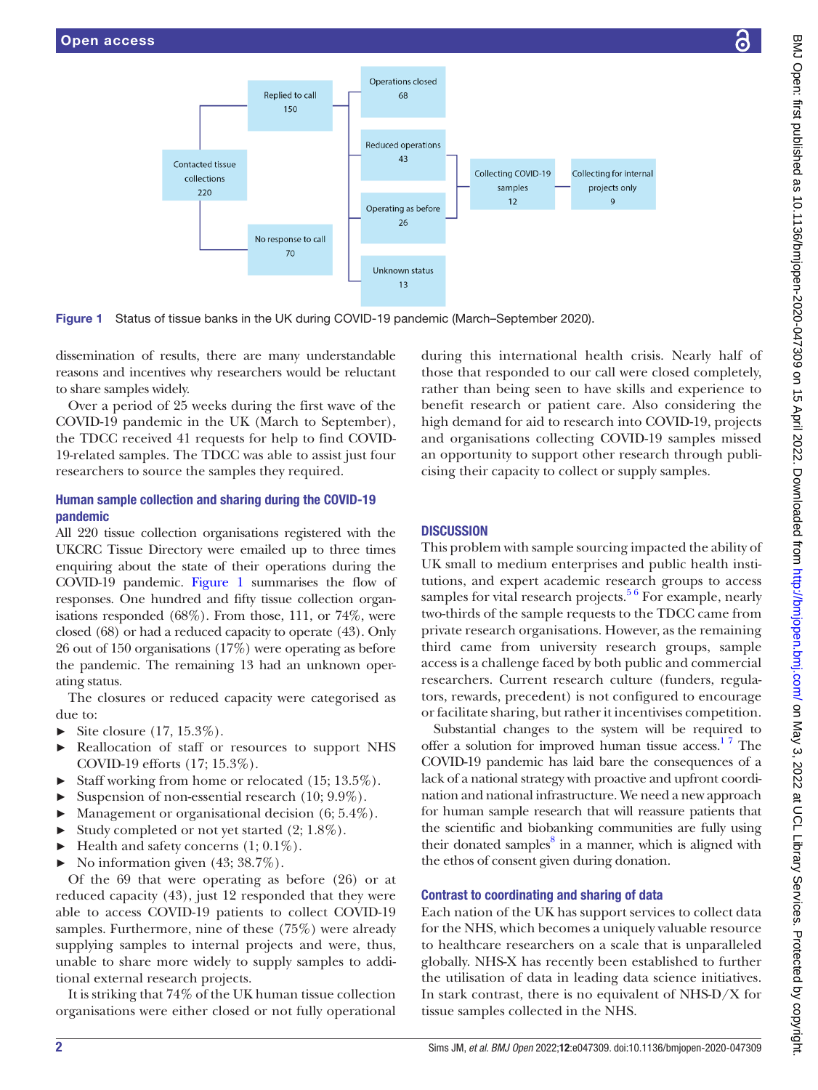



Figure 1 Status of tissue banks in the UK during COVID-19 pandemic (March–September 2020).

dissemination of results, there are many understandable reasons and incentives why researchers would be reluctant to share samples widely.

Over a period of 25 weeks during the first wave of the COVID-19 pandemic in the UK (March to September), the TDCC received 41 requests for help to find COVID-19-related samples. The TDCC was able to assist just four researchers to source the samples they required.

# Human sample collection and sharing during the COVID-19 pandemic

All 220 tissue collection organisations registered with the UKCRC Tissue Directory were emailed up to three times enquiring about the state of their operations during the COVID-19 pandemic. [Figure](#page-1-0) 1 summarises the flow of responses. One hundred and fifty tissue collection organisations responded (68%). From those, 111, or 74%, were closed (68) or had a reduced capacity to operate (43). Only 26 out of 150 organisations (17%) were operating as before the pandemic. The remaining 13 had an unknown operating status.

The closures or reduced capacity were categorised as due to:

- $\blacktriangleright$  Site closure (17, 15.3%).
- ► Reallocation of staff or resources to support NHS COVID-19 efforts (17; 15.3%).
- ► Staff working from home or relocated (15; 13.5%).
- ► Suspension of non-essential research (10; 9.9%).
- ► Management or organisational decision (6; 5.4%).
- ► Study completed or not yet started  $(2; 1.8\%)$ .
- $\blacktriangleright$  Health and safety concerns  $(1; 0.1\%)$ .
- No information given  $(43; 38.7\%).$

Of the 69 that were operating as before (26) or at reduced capacity (43), just 12 responded that they were able to access COVID-19 patients to collect COVID-19 samples. Furthermore, nine of these (75%) were already supplying samples to internal projects and were, thus, unable to share more widely to supply samples to additional external research projects.

It is striking that 74% of the UK human tissue collection organisations were either closed or not fully operational

<span id="page-1-0"></span>during this international health crisis. Nearly half of those that responded to our call were closed completely, rather than being seen to have skills and experience to benefit research or patient care. Also considering the high demand for aid to research into COVID-19, projects and organisations collecting COVID-19 samples missed an opportunity to support other research through publicising their capacity to collect or supply samples.

## **DISCUSSION**

This problem with sample sourcing impacted the ability of UK small to medium enterprises and public health institutions, and expert academic research groups to access samples for vital research projects.<sup>56</sup> For example, nearly two-thirds of the sample requests to the TDCC came from private research organisations. However, as the remaining third came from university research groups, sample access is a challenge faced by both public and commercial researchers. Current research culture (funders, regulators, rewards, precedent) is not configured to encourage or facilitate sharing, but rather it incentivises competition.

Substantial changes to the system will be required to offer a solution for improved human tissue  $access$ <sup>17</sup>. The COVID-19 pandemic has laid bare the consequences of a lack of a national strategy with proactive and upfront coordination and national infrastructure. We need a new approach for human sample research that will reassure patients that the scientific and biobanking communities are fully using their donated samples<sup>8</sup> in a manner, which is aligned with the ethos of consent given during donation.

## Contrast to coordinating and sharing of data

Each nation of the UK has support services to collect data for the NHS, which becomes a uniquely valuable resource to healthcare researchers on a scale that is unparalleled globally. NHS-X has recently been established to further the utilisation of data in leading data science initiatives. In stark contrast, there is no equivalent of NHS-D/X for tissue samples collected in the NHS.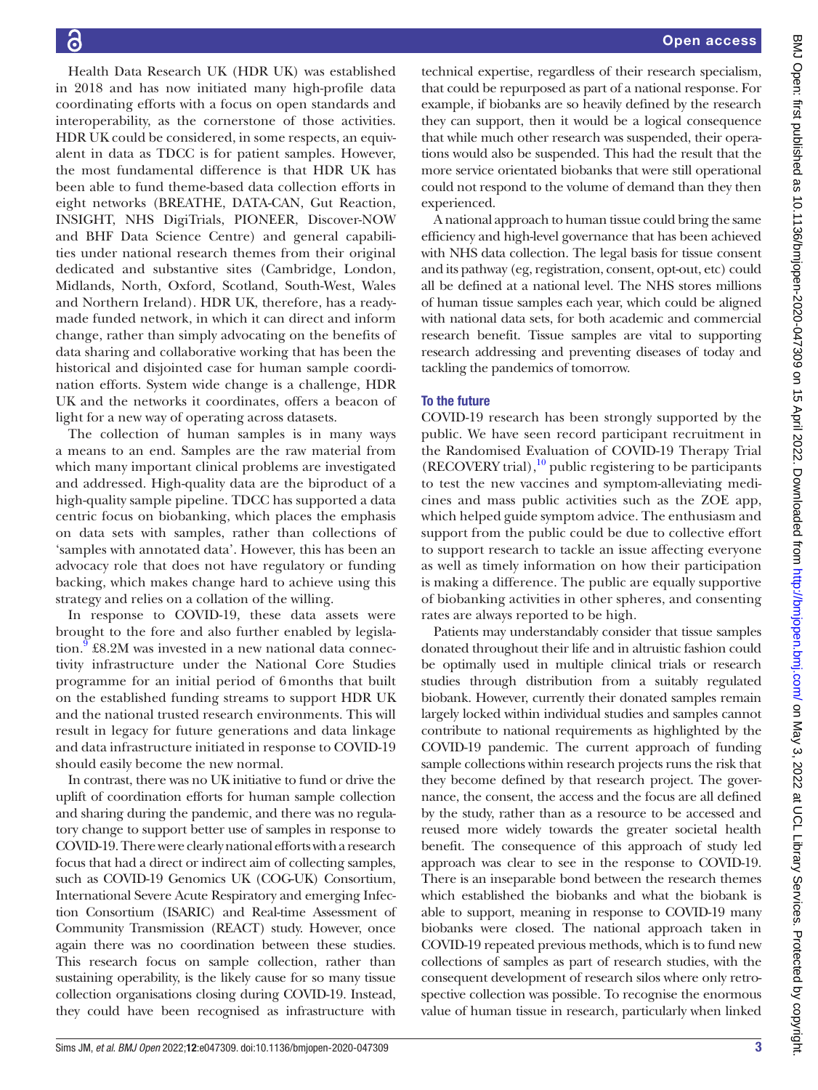Health Data Research UK (HDR UK) was established in 2018 and has now initiated many high-profile data coordinating efforts with a focus on open standards and interoperability, as the cornerstone of those activities. HDR UK could be considered, in some respects, an equivalent in data as TDCC is for patient samples. However, the most fundamental difference is that HDR UK has been able to fund theme-based data collection efforts in eight networks (BREATHE, DATA-CAN, Gut Reaction, INSIGHT, NHS DigiTrials, PIONEER, Discover-NOW and BHF Data Science Centre) and general capabilities under national research themes from their original dedicated and substantive sites (Cambridge, London, Midlands, North, Oxford, Scotland, South-West, Wales and Northern Ireland). HDR UK, therefore, has a readymade funded network, in which it can direct and inform change, rather than simply advocating on the benefits of data sharing and collaborative working that has been the historical and disjointed case for human sample coordination efforts. System wide change is a challenge, HDR UK and the networks it coordinates, offers a beacon of light for a new way of operating across datasets.

The collection of human samples is in many ways a means to an end. Samples are the raw material from which many important clinical problems are investigated and addressed. High-quality data are the biproduct of a high-quality sample pipeline. TDCC has supported a data centric focus on biobanking, which places the emphasis on data sets with samples, rather than collections of 'samples with annotated data'. However, this has been an advocacy role that does not have regulatory or funding backing, which makes change hard to achieve using this strategy and relies on a collation of the willing.

In response to COVID-19, these data assets were brought to the fore and also further enabled by legisla-tion.<sup>[9](#page-3-6)</sup> £8.2M was invested in a new national data connectivity infrastructure under the National Core Studies programme for an initial period of 6months that built on the established funding streams to support HDR UK and the national trusted research environments. This will result in legacy for future generations and data linkage and data infrastructure initiated in response to COVID-19 should easily become the new normal.

In contrast, there was no UK initiative to fund or drive the uplift of coordination efforts for human sample collection and sharing during the pandemic, and there was no regulatory change to support better use of samples in response to COVID-19. There were clearly national efforts with a research focus that had a direct or indirect aim of collecting samples, such as COVID-19 Genomics UK (COG-UK) Consortium, International Severe Acute Respiratory and emerging Infection Consortium (ISARIC) and Real-time Assessment of Community Transmission (REACT) study. However, once again there was no coordination between these studies. This research focus on sample collection, rather than sustaining operability, is the likely cause for so many tissue collection organisations closing during COVID-19. Instead, they could have been recognised as infrastructure with

technical expertise, regardless of their research specialism, that could be repurposed as part of a national response. For example, if biobanks are so heavily defined by the research they can support, then it would be a logical consequence that while much other research was suspended, their operations would also be suspended. This had the result that the more service orientated biobanks that were still operational could not respond to the volume of demand than they then experienced.

A national approach to human tissue could bring the same efficiency and high-level governance that has been achieved with NHS data collection. The legal basis for tissue consent and its pathway (eg, registration, consent, opt-out, etc) could all be defined at a national level. The NHS stores millions of human tissue samples each year, which could be aligned with national data sets, for both academic and commercial research benefit. Tissue samples are vital to supporting research addressing and preventing diseases of today and tackling the pandemics of tomorrow.

# To the future

COVID-19 research has been strongly supported by the public. We have seen record participant recruitment in the Randomised Evaluation of COVID-19 Therapy Trial  $(RECOVERY trial)$ ,<sup>10</sup> public registering to be participants to test the new vaccines and symptom-alleviating medicines and mass public activities such as the ZOE app, which helped guide symptom advice. The enthusiasm and support from the public could be due to collective effort to support research to tackle an issue affecting everyone as well as timely information on how their participation is making a difference. The public are equally supportive of biobanking activities in other spheres, and consenting rates are always reported to be high.

Patients may understandably consider that tissue samples donated throughout their life and in altruistic fashion could be optimally used in multiple clinical trials or research studies through distribution from a suitably regulated biobank. However, currently their donated samples remain largely locked within individual studies and samples cannot contribute to national requirements as highlighted by the COVID-19 pandemic. The current approach of funding sample collections within research projects runs the risk that they become defined by that research project. The governance, the consent, the access and the focus are all defined by the study, rather than as a resource to be accessed and reused more widely towards the greater societal health benefit. The consequence of this approach of study led approach was clear to see in the response to COVID-19. There is an inseparable bond between the research themes which established the biobanks and what the biobank is able to support, meaning in response to COVID-19 many biobanks were closed. The national approach taken in COVID-19 repeated previous methods, which is to fund new collections of samples as part of research studies, with the consequent development of research silos where only retrospective collection was possible. To recognise the enormous value of human tissue in research, particularly when linked